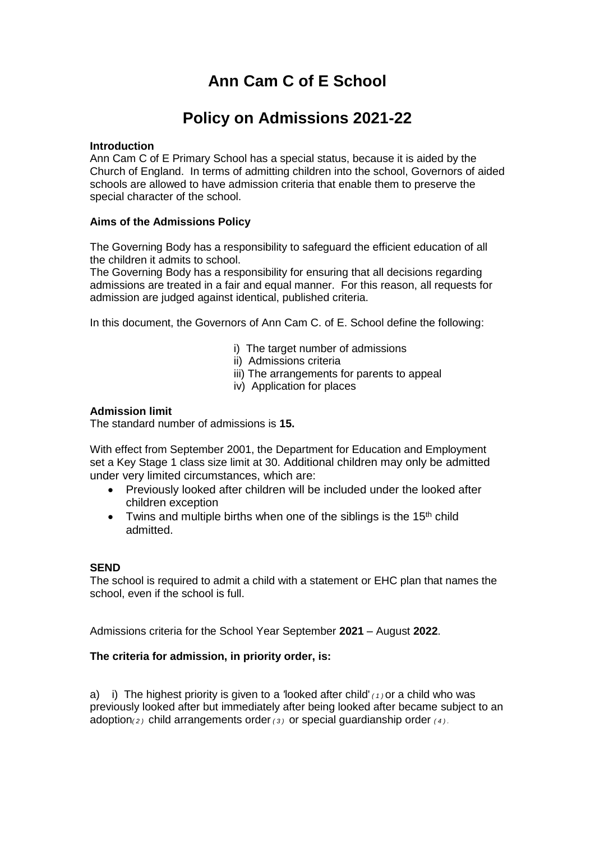# **Ann Cam C of E School**

## **Policy on Admissions 2021-22**

## **Introduction**

Ann Cam C of E Primary School has a special status, because it is aided by the Church of England. In terms of admitting children into the school, Governors of aided schools are allowed to have admission criteria that enable them to preserve the special character of the school.

## **Aims of the Admissions Policy**

The Governing Body has a responsibility to safeguard the efficient education of all the children it admits to school.

The Governing Body has a responsibility for ensuring that all decisions regarding admissions are treated in a fair and equal manner. For this reason, all requests for admission are judged against identical, published criteria.

In this document, the Governors of Ann Cam C. of E. School define the following:

- i) The target number of admissions
- ii) Admissions criteria
- iii) The arrangements for parents to appeal
- iv) Application for places

## **Admission limit**

The standard number of admissions is **15.**

With effect from September 2001, the Department for Education and Employment set a Key Stage 1 class size limit at 30. Additional children may only be admitted under very limited circumstances, which are:

- Previously looked after children will be included under the looked after children exception
- $\bullet$  Twins and multiple births when one of the siblings is the 15<sup>th</sup> child admitted.

#### **SEND**

The school is required to admit a child with a statement or EHC plan that names the school, even if the school is full.

Admissions criteria for the School Year September **2021** – August **2022**.

## **The criteria for admission, in priority order, is:**

a) i) The highest priority is given to a *'*looked after child' *( 1 )* or a child who was previously looked after but immediately after being looked after became subject to an adoption*( 2 )* child arrangements order *( 3 )* or special guardianship order *( 4 ) .*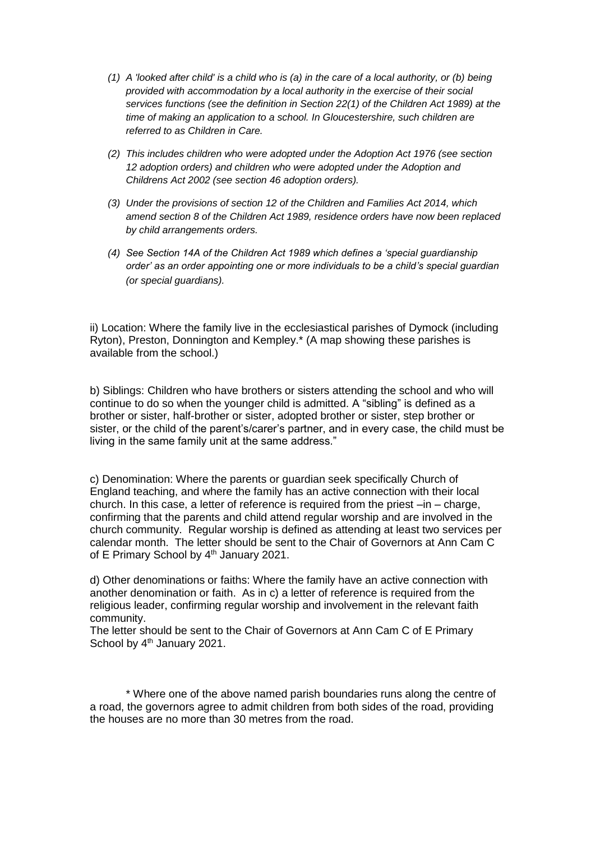- *(1) A 'looked after child' is a child who is (a) in the care of a local authority, or (b) being provided with accommodation by a local authority in the exercise of their social services functions (see the definition in Section 22(1) of the Children Act 1989) at the time of making an application to a school. In Gloucestershire, such children are referred to as Children in Care.*
- *(2) This includes children who were adopted under the Adoption Act 1976 (see section 12 adoption orders) and children who were adopted under the Adoption and Childrens Act 2002 (see section 46 adoption orders).*
- *(3) Under the provisions of section 12 of the Children and Families Act 2014, which amend section 8 of the Children Act 1989, residence orders have now been replaced by child arrangements orders.*
- *(4) See Section 14A of the Children Act 1989 which defines a 'special guardianship order' as an order appointing one or more individuals to be a child's special guardian (or special guardians).*

ii) Location: Where the family live in the ecclesiastical parishes of Dymock (including Ryton), Preston, Donnington and Kempley.\* (A map showing these parishes is available from the school.)

b) Siblings: Children who have brothers or sisters attending the school and who will continue to do so when the younger child is admitted. A "sibling" is defined as a brother or sister, half-brother or sister, adopted brother or sister, step brother or sister, or the child of the parent's/carer's partner, and in every case, the child must be living in the same family unit at the same address."

c) Denomination: Where the parents or guardian seek specifically Church of England teaching, and where the family has an active connection with their local church. In this case, a letter of reference is required from the priest  $-$ in  $-$  charge, confirming that the parents and child attend regular worship and are involved in the church community. Regular worship is defined as attending at least two services per calendar month. The letter should be sent to the Chair of Governors at Ann Cam C of E Primary School by 4<sup>th</sup> January 2021.

d) Other denominations or faiths: Where the family have an active connection with another denomination or faith. As in c) a letter of reference is required from the religious leader, confirming regular worship and involvement in the relevant faith community.

The letter should be sent to the Chair of Governors at Ann Cam C of E Primary School by 4<sup>th</sup> January 2021.

\* Where one of the above named parish boundaries runs along the centre of a road, the governors agree to admit children from both sides of the road, providing the houses are no more than 30 metres from the road.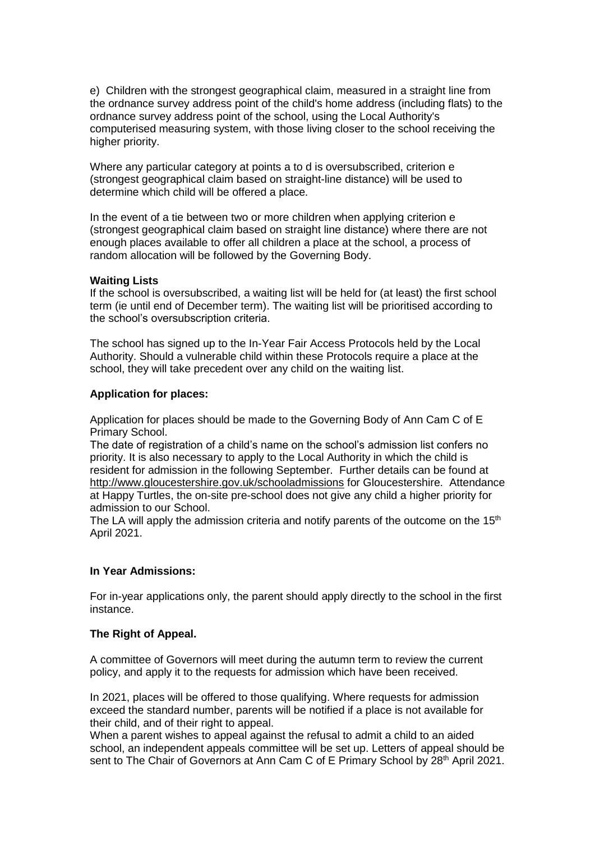e) Children with the strongest geographical claim, measured in a straight line from the ordnance survey address point of the child's home address (including flats) to the ordnance survey address point of the school, using the Local Authority's computerised measuring system, with those living closer to the school receiving the higher priority.

Where any particular category at points a to d is oversubscribed, criterion e (strongest geographical claim based on straight-line distance) will be used to determine which child will be offered a place.

In the event of a tie between two or more children when applying criterion e (strongest geographical claim based on straight line distance) where there are not enough places available to offer all children a place at the school, a process of random allocation will be followed by the Governing Body.

#### **Waiting Lists**

If the school is oversubscribed, a waiting list will be held for (at least) the first school term (ie until end of December term). The waiting list will be prioritised according to the school's oversubscription criteria.

The school has signed up to the In-Year Fair Access Protocols held by the Local Authority. Should a vulnerable child within these Protocols require a place at the school, they will take precedent over any child on the waiting list.

#### **Application for places:**

Application for places should be made to the Governing Body of Ann Cam C of E Primary School.

The date of registration of a child's name on the school's admission list confers no priority. It is also necessary to apply to the Local Authority in which the child is resident for admission in the following September. Further details can be found at <http://www.gloucestershire.gov.uk/schooladmissions> for Gloucestershire. Attendance at Happy Turtles, the on-site pre-school does not give any child a higher priority for admission to our School.

The LA will apply the admission criteria and notify parents of the outcome on the  $15<sup>th</sup>$ April 2021.

#### **In Year Admissions:**

For in-year applications only, the parent should apply directly to the school in the first instance.

## **The Right of Appeal.**

A committee of Governors will meet during the autumn term to review the current policy, and apply it to the requests for admission which have been received.

In 2021, places will be offered to those qualifying. Where requests for admission exceed the standard number, parents will be notified if a place is not available for their child, and of their right to appeal.

When a parent wishes to appeal against the refusal to admit a child to an aided school, an independent appeals committee will be set up. Letters of appeal should be sent to The Chair of Governors at Ann Cam C of E Primary School by 28<sup>th</sup> April 2021.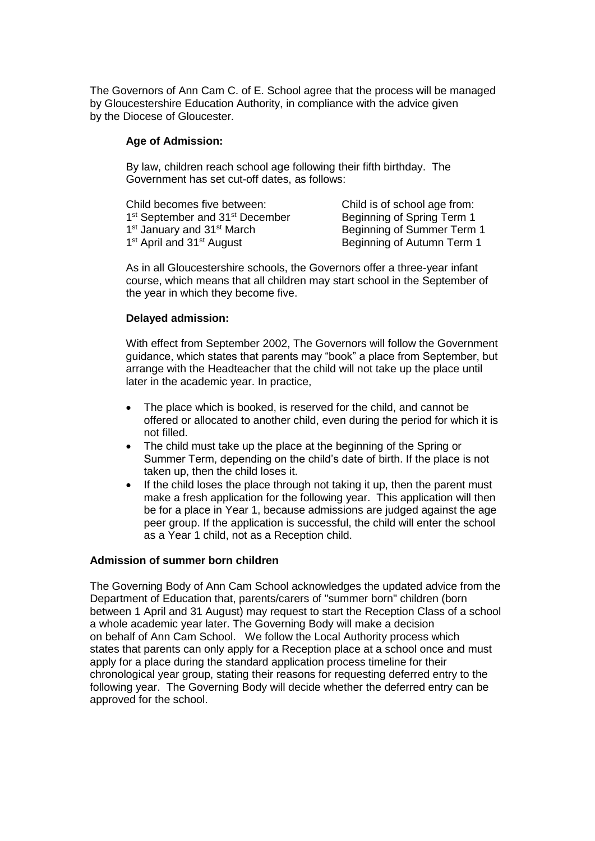The Governors of Ann Cam C. of E. School agree that the process will be managed by Gloucestershire Education Authority, in compliance with the advice given by the Diocese of Gloucester.

#### **Age of Admission:**

By law, children reach school age following their fifth birthday. The Government has set cut-off dates, as follows:

| Child becomes five between:                             | Child is of school age from: |
|---------------------------------------------------------|------------------------------|
| 1 <sup>st</sup> September and 31 <sup>st</sup> December | Beginning of Spring Term 1   |
| 1 <sup>st</sup> January and 31 <sup>st</sup> March      | Beginning of Summer Term 1   |
| 1 <sup>st</sup> April and 31 <sup>st</sup> August       | Beginning of Autumn Term 1   |

As in all Gloucestershire schools, the Governors offer a three-year infant course, which means that all children may start school in the September of the year in which they become five.

#### **Delayed admission:**

With effect from September 2002, The Governors will follow the Government guidance, which states that parents may "book" a place from September, but arrange with the Headteacher that the child will not take up the place until later in the academic year. In practice,

- The place which is booked, is reserved for the child, and cannot be offered or allocated to another child, even during the period for which it is not filled.
- The child must take up the place at the beginning of the Spring or Summer Term, depending on the child's date of birth. If the place is not taken up, then the child loses it.
- If the child loses the place through not taking it up, then the parent must make a fresh application for the following year. This application will then be for a place in Year 1, because admissions are judged against the age peer group. If the application is successful, the child will enter the school as a Year 1 child, not as a Reception child.

## **Admission of summer born children**

The Governing Body of Ann Cam School acknowledges the updated advice from the Department of Education that, parents/carers of "summer born" children (born between 1 April and 31 August) may request to start the Reception Class of a school a whole academic year later. The Governing Body will make a decision on behalf of Ann Cam School. We follow the Local Authority process which states that parents can only apply for a Reception place at a school once and must apply for a place during the standard application process timeline for their chronological year group, stating their reasons for requesting deferred entry to the following year. The Governing Body will decide whether the deferred entry can be approved for the school.